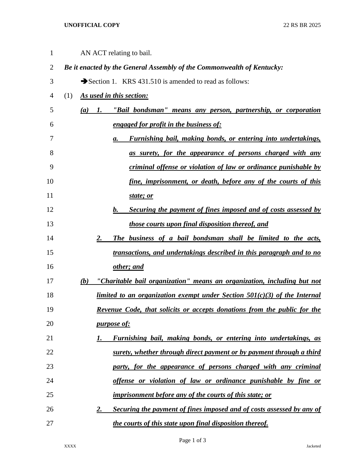## **UNOFFICIAL COPY** 22 RS BR 2025

| $\mathbf{1}$   |     |                                 |    | AN ACT relating to bail.                                                        |
|----------------|-----|---------------------------------|----|---------------------------------------------------------------------------------|
| $\overline{2}$ |     |                                 |    | Be it enacted by the General Assembly of the Commonwealth of Kentucky:          |
| 3              |     |                                 |    | Section 1. KRS 431.510 is amended to read as follows:                           |
| 4              | (1) | <u>As used in this section:</u> |    |                                                                                 |
| 5              |     | (a)                             | 1. | "Bail bondsman" means any person, partnership, or corporation                   |
| 6              |     |                                 |    | engaged for profit in the business of:                                          |
| 7              |     |                                 |    | <u>Furnishing bail, making bonds, or entering into undertakings,</u><br>а.      |
| 8              |     |                                 |    | as surety, for the appearance of persons charged with any                       |
| 9              |     |                                 |    | criminal offense or violation of law or ordinance punishable by                 |
| 10             |     |                                 |    | fine, imprisonment, or death, before any of the courts of this                  |
| 11             |     |                                 |    | state; or                                                                       |
| 12             |     |                                 |    | Securing the payment of fines imposed and of costs assessed by<br>b.            |
| 13             |     |                                 |    | those courts upon final disposition thereof, and                                |
| 14             |     |                                 | 2. | The business of a bail bondsman shall be limited to the acts,                   |
| 15             |     |                                 |    | transactions, and undertakings described in this paragraph and to no            |
| 16             |     |                                 |    | other; and                                                                      |
| 17             |     | (b)                             |    | "Charitable bail organization" means an organization, including but not         |
| 18             |     |                                 |    | $limited$ to an organization exempt under Section $501(c)(3)$ of the Internal   |
| 19             |     |                                 |    | <u>Revenue Code, that solicits or accepts donations from the public for the</u> |
| 20             |     |                                 |    | <i>purpose of:</i>                                                              |
| 21             |     |                                 | 1. | Furnishing bail, making bonds, or entering into undertakings, as                |
| 22             |     |                                 |    | surety, whether through direct payment or by payment through a third            |
| 23             |     |                                 |    | party, for the appearance of persons charged with any criminal                  |
| 24             |     |                                 |    | offense or violation of law or ordinance punishable by fine or                  |
| 25             |     |                                 |    | <i>imprisonment before any of the courts of this state; or</i>                  |
| 26             |     |                                 | 2. | Securing the payment of fines imposed and of costs assessed by any of           |
| 27             |     |                                 |    | the courts of this state upon final disposition thereof.                        |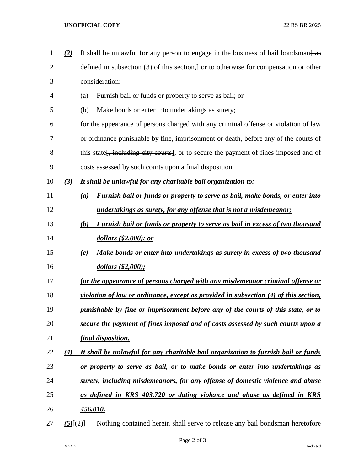## **UNOFFICIAL COPY** 22 RS BR 2025

| 1              | (2)    | It shall be unlawful for any person to engage in the business of bail bondsman as                 |  |  |
|----------------|--------|---------------------------------------------------------------------------------------------------|--|--|
| $\overline{2}$ |        | defined in subsection $(3)$ of this section, or to otherwise for compensation or other            |  |  |
| 3              |        | consideration:                                                                                    |  |  |
| 4              |        | Furnish bail or funds or property to serve as bail; or<br>(a)                                     |  |  |
| 5              |        | Make bonds or enter into undertakings as surety;<br>(b)                                           |  |  |
| 6              |        | for the appearance of persons charged with any criminal offense or violation of law               |  |  |
| 7              |        | or ordinance punishable by fine, imprisonment or death, before any of the courts of               |  |  |
| 8              |        | this state <del>, including city courts]</del> , or to secure the payment of fines imposed and of |  |  |
| 9              |        | costs assessed by such courts upon a final disposition.                                           |  |  |
| 10             | (3)    | It shall be unlawful for any charitable bail organization to:                                     |  |  |
| 11             |        | <b>Furnish bail or funds or property to serve as bail, make bonds, or enter into</b><br>(a)       |  |  |
| 12             |        | <u>undertakings as surety, for any offense that is not a misdemeanor;</u>                         |  |  |
| 13             |        | <b>Furnish bail or funds or property to serve as bail in excess of two thousand</b><br>(b)        |  |  |
| 14             |        | dollars (\$2,000); or                                                                             |  |  |
| 15             |        | Make bonds or enter into undertakings as surety in excess of two thousand<br>(c)                  |  |  |
| 16             |        | dollars (\$2,000);                                                                                |  |  |
| 17             |        | for the appearance of persons charged with any misdemeanor criminal offense or                    |  |  |
| 18             |        | violation of law or ordinance, except as provided in subsection (4) of this section,              |  |  |
| 19             |        | punishable by fine or imprisonment before any of the courts of this state, or to                  |  |  |
| 20             |        | secure the payment of fines imposed and of costs assessed by such courts upon a                   |  |  |
| 21             |        | final disposition.                                                                                |  |  |
| 22             | (4)    | It shall be unlawful for any charitable bail organization to furnish bail or funds                |  |  |
| 23             |        | or property to serve as bail, or to make bonds or enter into undertakings as                      |  |  |
| 24             |        | surety, including misdemeanors, for any offense of domestic violence and abuse                    |  |  |
| 25             |        | as defined in KRS 403.720 or dating violence and abuse as defined in KRS                          |  |  |
| 26             |        | <u>456.010.</u>                                                                                   |  |  |
| 27             | (5)(2) | Nothing contained herein shall serve to release any bail bondsman heretofore                      |  |  |